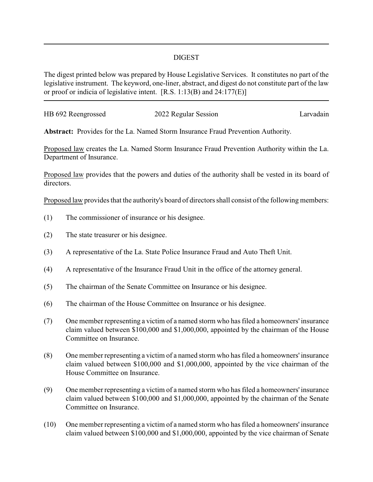## DIGEST

The digest printed below was prepared by House Legislative Services. It constitutes no part of the legislative instrument. The keyword, one-liner, abstract, and digest do not constitute part of the law or proof or indicia of legislative intent. [R.S. 1:13(B) and 24:177(E)]

| HB 692 Reengrossed | 2022 Regular Session | Larvadain |
|--------------------|----------------------|-----------|
|                    |                      |           |

**Abstract:** Provides for the La. Named Storm Insurance Fraud Prevention Authority.

Proposed law creates the La. Named Storm Insurance Fraud Prevention Authority within the La. Department of Insurance.

Proposed law provides that the powers and duties of the authority shall be vested in its board of directors.

Proposed law provides that the authority's board of directors shall consist of the following members:

- (1) The commissioner of insurance or his designee.
- (2) The state treasurer or his designee.
- (3) A representative of the La. State Police Insurance Fraud and Auto Theft Unit.
- (4) A representative of the Insurance Fraud Unit in the office of the attorney general.
- (5) The chairman of the Senate Committee on Insurance or his designee.
- (6) The chairman of the House Committee on Insurance or his designee.
- (7) One member representing a victim of a named storm who has filed a homeowners' insurance claim valued between \$100,000 and \$1,000,000, appointed by the chairman of the House Committee on Insurance.
- (8) One member representing a victim of a named storm who has filed a homeowners' insurance claim valued between \$100,000 and \$1,000,000, appointed by the vice chairman of the House Committee on Insurance.
- (9) One member representing a victim of a named storm who has filed a homeowners' insurance claim valued between \$100,000 and \$1,000,000, appointed by the chairman of the Senate Committee on Insurance.
- (10) One member representing a victim of a named storm who has filed a homeowners' insurance claim valued between \$100,000 and \$1,000,000, appointed by the vice chairman of Senate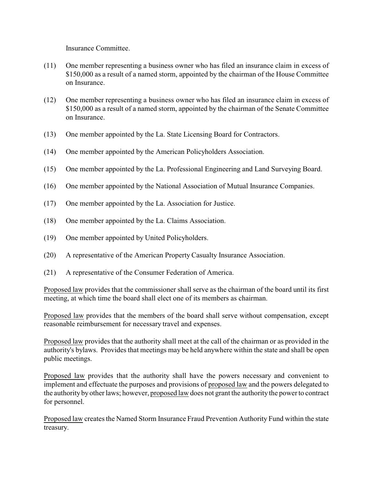Insurance Committee.

- (11) One member representing a business owner who has filed an insurance claim in excess of \$150,000 as a result of a named storm, appointed by the chairman of the House Committee on Insurance.
- (12) One member representing a business owner who has filed an insurance claim in excess of \$150,000 as a result of a named storm, appointed by the chairman of the Senate Committee on Insurance.
- (13) One member appointed by the La. State Licensing Board for Contractors.
- (14) One member appointed by the American Policyholders Association.
- (15) One member appointed by the La. Professional Engineering and Land Surveying Board.
- (16) One member appointed by the National Association of Mutual Insurance Companies.
- (17) One member appointed by the La. Association for Justice.
- (18) One member appointed by the La. Claims Association.
- (19) One member appointed by United Policyholders.
- (20) A representative of the American Property Casualty Insurance Association.
- (21) A representative of the Consumer Federation of America.

Proposed law provides that the commissioner shall serve as the chairman of the board until its first meeting, at which time the board shall elect one of its members as chairman.

Proposed law provides that the members of the board shall serve without compensation, except reasonable reimbursement for necessary travel and expenses.

Proposed law provides that the authority shall meet at the call of the chairman or as provided in the authority's bylaws. Provides that meetings may be held anywhere within the state and shall be open public meetings.

Proposed law provides that the authority shall have the powers necessary and convenient to implement and effectuate the purposes and provisions of proposed law and the powers delegated to the authorityby other laws; however, proposed law does not grant the authority the power to contract for personnel.

Proposed law creates the Named Storm Insurance Fraud Prevention Authority Fund within the state treasury.